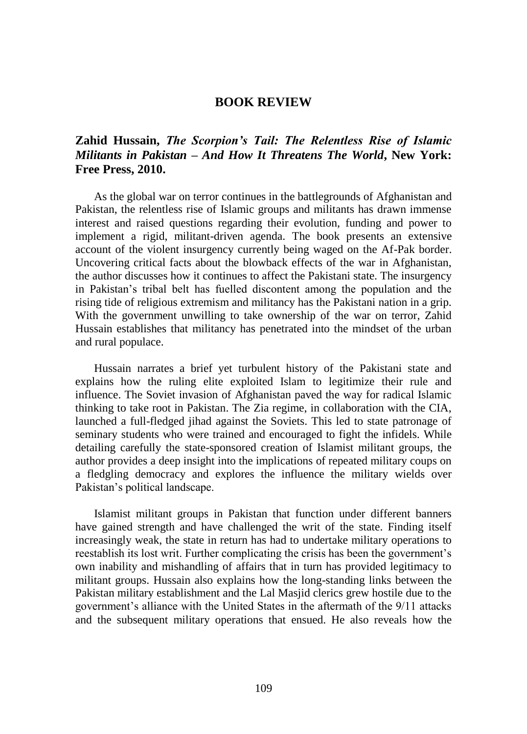## **BOOK REVIEW**

## **Zahid Hussain,** *The Scorpion's Tail: The Relentless Rise of Islamic Militants in Pakistan – And How It Threatens The World***, New York: Free Press, 2010.**

As the global war on terror continues in the battlegrounds of Afghanistan and Pakistan, the relentless rise of Islamic groups and militants has drawn immense interest and raised questions regarding their evolution, funding and power to implement a rigid, militant-driven agenda. The book presents an extensive account of the violent insurgency currently being waged on the Af-Pak border. Uncovering critical facts about the blowback effects of the war in Afghanistan, the author discusses how it continues to affect the Pakistani state. The insurgency in Pakistan's tribal belt has fuelled discontent among the population and the rising tide of religious extremism and militancy has the Pakistani nation in a grip. With the government unwilling to take ownership of the war on terror, Zahid Hussain establishes that militancy has penetrated into the mindset of the urban and rural populace.

Hussain narrates a brief yet turbulent history of the Pakistani state and explains how the ruling elite exploited Islam to legitimize their rule and influence. The Soviet invasion of Afghanistan paved the way for radical Islamic thinking to take root in Pakistan. The Zia regime, in collaboration with the CIA, launched a full-fledged jihad against the Soviets. This led to state patronage of seminary students who were trained and encouraged to fight the infidels. While detailing carefully the state-sponsored creation of Islamist militant groups, the author provides a deep insight into the implications of repeated military coups on a fledgling democracy and explores the influence the military wields over Pakistan's political landscape.

Islamist militant groups in Pakistan that function under different banners have gained strength and have challenged the writ of the state. Finding itself increasingly weak, the state in return has had to undertake military operations to reestablish its lost writ. Further complicating the crisis has been the government's own inability and mishandling of affairs that in turn has provided legitimacy to militant groups. Hussain also explains how the long-standing links between the Pakistan military establishment and the Lal Masjid clerics grew hostile due to the government's alliance with the United States in the aftermath of the 9/11 attacks and the subsequent military operations that ensued. He also reveals how the